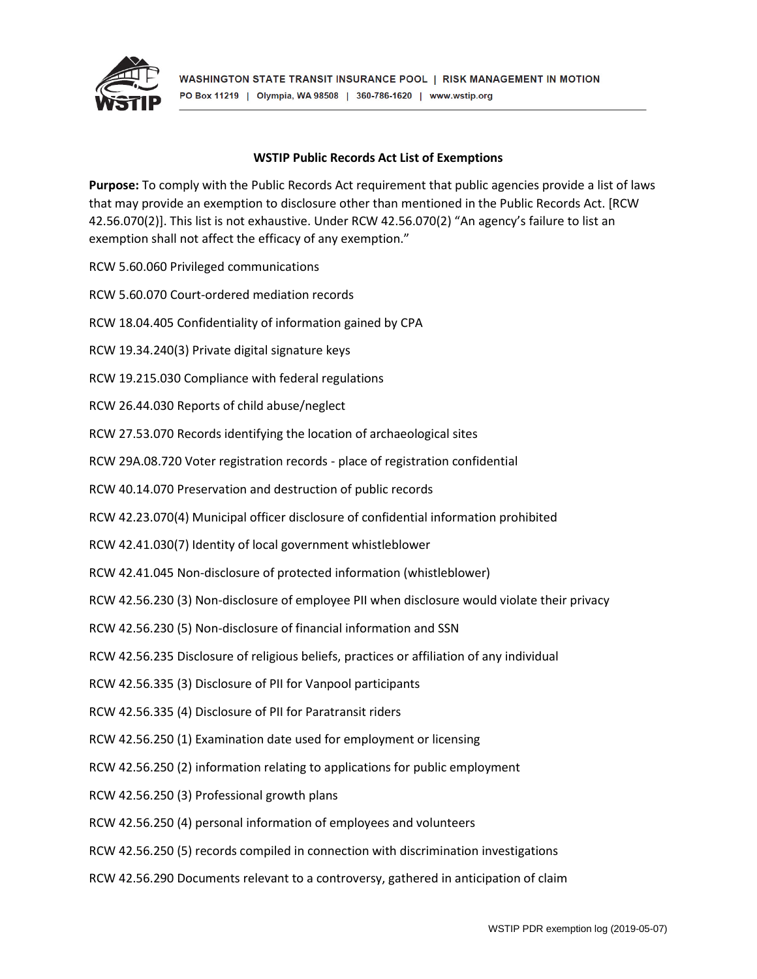

## **WSTIP Public Records Act List of Exemptions**

**Purpose:** To comply with the Public Records Act requirement that public agencies provide a list of laws that may provide an exemption to disclosure other than mentioned in the Public Records Act. [RCW 42.56.070(2)]. This list is not exhaustive. Under RCW 42.56.070(2) "An agency's failure to list an exemption shall not affect the efficacy of any exemption."

RCW 5.60.060 Privileged communications

RCW 5.60.070 Court-ordered mediation records

RCW 18.04.405 Confidentiality of information gained by CPA

RCW 19.34.240(3) Private digital signature keys

RCW 19.215.030 Compliance with federal regulations

RCW 26.44.030 Reports of child abuse/neglect

RCW 27.53.070 Records identifying the location of archaeological sites

RCW 29A.08.720 Voter registration records - place of registration confidential

RCW 40.14.070 Preservation and destruction of public records

RCW 42.23.070(4) Municipal officer disclosure of confidential information prohibited

RCW 42.41.030(7) Identity of local government whistleblower

RCW 42.41.045 Non-disclosure of protected information (whistleblower)

RCW 42.56.230 (3) Non-disclosure of employee PII when disclosure would violate their privacy

RCW 42.56.230 (5) Non-disclosure of financial information and SSN

RCW 42.56.235 Disclosure of religious beliefs, practices or affiliation of any individual

RCW 42.56.335 (3) Disclosure of PII for Vanpool participants

RCW 42.56.335 (4) Disclosure of PII for Paratransit riders

RCW 42.56.250 (1) Examination date used for employment or licensing

RCW 42.56.250 (2) information relating to applications for public employment

RCW 42.56.250 (3) Professional growth plans

RCW 42.56.250 (4) personal information of employees and volunteers

RCW 42.56.250 (5) records compiled in connection with discrimination investigations

RCW 42.56.290 Documents relevant to a controversy, gathered in anticipation of claim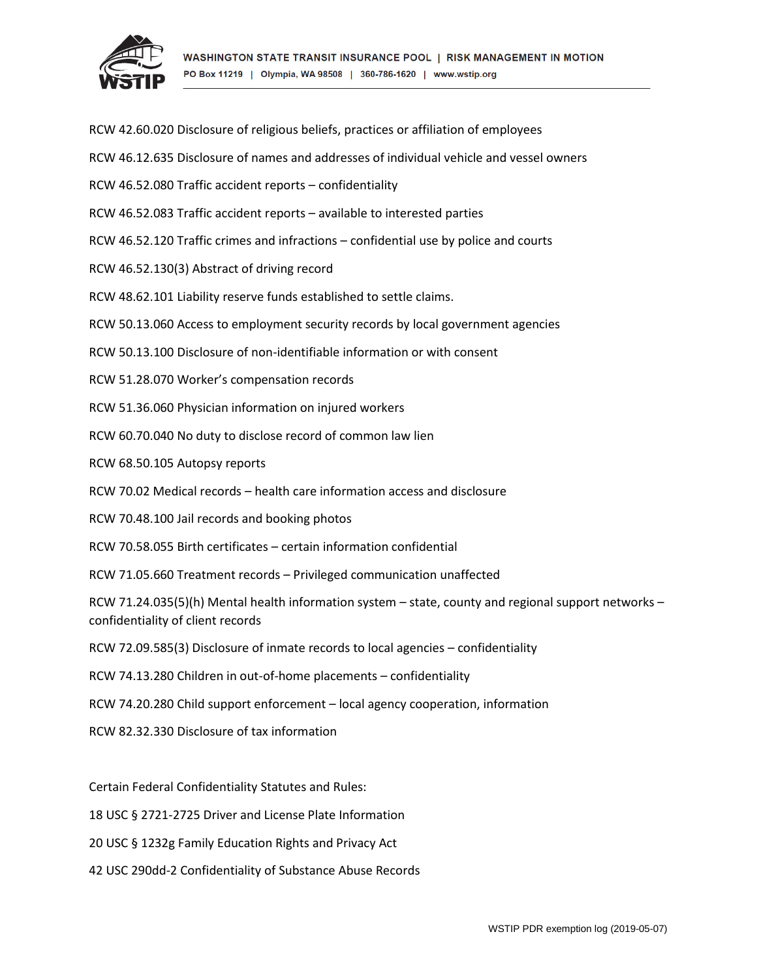

| RCW 42.60.020 Disclosure of religious beliefs, practices or affiliation of employees                                                      |
|-------------------------------------------------------------------------------------------------------------------------------------------|
| RCW 46.12.635 Disclosure of names and addresses of individual vehicle and vessel owners                                                   |
| RCW 46.52.080 Traffic accident reports - confidentiality                                                                                  |
| RCW 46.52.083 Traffic accident reports - available to interested parties                                                                  |
| RCW 46.52.120 Traffic crimes and infractions - confidential use by police and courts                                                      |
| RCW 46.52.130(3) Abstract of driving record                                                                                               |
| RCW 48.62.101 Liability reserve funds established to settle claims.                                                                       |
| RCW 50.13.060 Access to employment security records by local government agencies                                                          |
| RCW 50.13.100 Disclosure of non-identifiable information or with consent                                                                  |
| RCW 51.28.070 Worker's compensation records                                                                                               |
| RCW 51.36.060 Physician information on injured workers                                                                                    |
| RCW 60.70.040 No duty to disclose record of common law lien                                                                               |
| RCW 68.50.105 Autopsy reports                                                                                                             |
| RCW 70.02 Medical records - health care information access and disclosure                                                                 |
| RCW 70.48.100 Jail records and booking photos                                                                                             |
| RCW 70.58.055 Birth certificates - certain information confidential                                                                       |
| RCW 71.05.660 Treatment records - Privileged communication unaffected                                                                     |
| RCW 71.24.035(5)(h) Mental health information system - state, county and regional support networks -<br>confidentiality of client records |
| RCW 72.09.585(3) Disclosure of inmate records to local agencies - confidentiality                                                         |
| RCW 74.13.280 Children in out-of-home placements - confidentiality                                                                        |
| RCW 74.20.280 Child support enforcement - local agency cooperation, information                                                           |
| RCW 82.32.330 Disclosure of tax information                                                                                               |
|                                                                                                                                           |
| Certain Federal Confidentiality Statutes and Rules:                                                                                       |
| 18 USC § 2721-2725 Driver and License Plate Information                                                                                   |

20 USC § 1232g Family Education Rights and Privacy Act

42 USC 290dd-2 Confidentiality of Substance Abuse Records